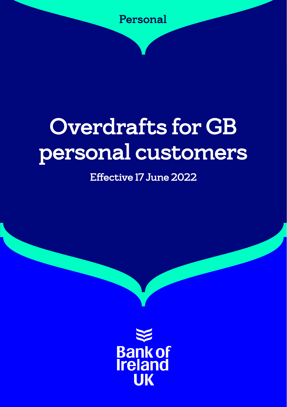

# Overdrafts for GB personal customers

## Effective 17 June 2022

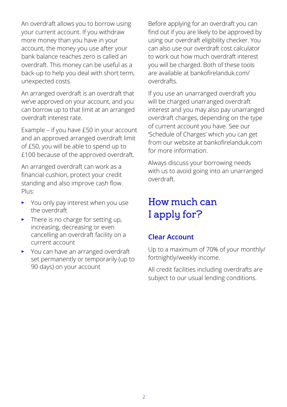An overdraft allows you to borrow using your current account. If you withdraw more money than you have in your account, the money you use after your bank balance reaches zero is called an overdraft. This money can be useful as a back-up to help you deal with short term, unexpected costs.

An arranged overdraft is an overdraft that we've approved on your account, and you can borrow up to that limit at an arranged overdraft interest rate.

Example – if you have £50 in your account and an approved arranged overdraft limit of £50, you will be able to spend up to £100 because of the approved overdraft.

An arranged overdraft can work as a financial cushion, protect your credit standing and also improve cash flow. Plus:

- You only pay interest when you use the overdraft
- $\blacktriangleright$  There is no charge for setting up, increasing, decreasing or even cancelling an overdraft facility on a current account
- You can have an arranged overdraft set permanently or temporarily (up to 90 days) on your account

Before applying for an overdraft you can find out if you are likely to be approved by using our overdraft eligibility checker. You can also use our overdraft cost calculator to work out how much overdraft interest you will be charged. Both of these tools are available at [bankofirelanduk.com/](http://bankofirelanduk.com/overdrafts) [overdrafts.](http://bankofirelanduk.com/overdrafts)

If you use an unarranged overdraft you will be charged unarranged overdraft interest and you may also pay unarranged overdraft charges, depending on the type of current account you have. See our 'Schedule of Charges' which you can get from our website at [bankofirelanduk.com](http://bankofirelanduk.com) for more information.

Always discuss your borrowing needs with us to avoid going into an unarranged overdraft.

## How much can I apply for?

#### **Clear Account**

Up to a maximum of 70% of your monthly/ fortnightly/weekly income.

All credit facilities including overdrafts are subject to our usual lending conditions.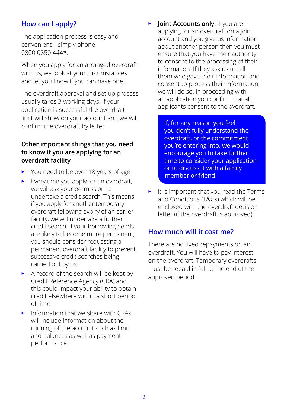#### **How can I apply?**

The application process is easy and convenient – simply phone 0800 0850 444\*.

When you apply for an arranged overdraft with us, we look at your circumstances and let you know if you can have one.

The overdraft approval and set up process usually takes 3 working days. If your application is successful the overdraft limit will show on your account and we will confirm the overdraft by letter.

#### **Other important things that you need to know if you are applying for an overdraft facility**

- You need to be over 18 years of age.
- $\blacktriangleright$  Every time you apply for an overdraft, we will ask your permission to undertake a credit search. This means if you apply for another temporary overdraft following expiry of an earlier facility, we will undertake a further credit search. If your borrowing needs are likely to become more permanent, you should consider requesting a permanent overdraft facility to prevent successive credit searches being carried out by us.
- A record of the search will be kept by Credit Reference Agency (CRA) and this could impact your ability to obtain credit elsewhere within a short period of time.
- Information that we share with CRAs will include information about the running of the account such as limit and balances as well as payment performance.

• **Joint Accounts only:** If you are applying for an overdraft on a joint account and you give us information about another person then you must ensure that you have their authority to consent to the processing of their information. If they ask us to tell them who gave their information and consent to process their information, we will do so. In proceeding with an application you confirm that all applicants consent to the overdraft.

> If, for any reason you feel you don't fully understand the overdraft, or the commitment you're entering into, we would encourage you to take further time to consider your application or to discuss it with a family member or friend.

 $\blacktriangleright$  It is important that you read the Terms and Conditions (T&Cs) which will be enclosed with the overdraft decision letter (if the overdraft is approved).

#### **How much will it cost me?**

There are no fixed repayments on an overdraft. You will have to pay interest on the overdraft. Temporary overdrafts must be repaid in full at the end of the approved period.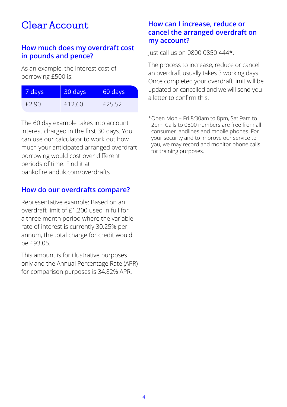## Clear Account

#### **How much does my overdraft cost in pounds and pence?**

As an example, the interest cost of borrowing £500 is:

| 7 days | 30 days | 60 days |
|--------|---------|---------|
| £2.90  | f1260   | £25.52  |

The 60 day example takes into account interest charged in the first 30 days. You can use our calculator to work out how much your anticipated arranged overdraft borrowing would cost over different periods of time. Find it at bankofirelanduk.com/overdrafts

#### **How do our overdrafts compare?**

Representative example: Based on an overdraft limit of £1,200 used in full for a three month period where the variable rate of interest is currently 30.25% per annum, the total charge for credit would be £93.05.

This amount is for illustrative purposes only and the Annual Percentage Rate (APR) for comparison purposes is 34.82% APR.

#### **How can I increase, reduce or cancel the arranged overdraft on my account?**

Just call us on 0800 0850 444\*.

The process to increase, reduce or cancel an overdraft usually takes 3 working days. Once completed your overdraft limit will be updated or cancelled and we will send you a letter to confirm this.

\*Open Mon – Fri 8:30am to 8pm, Sat 9am to 2pm. Calls to 0800 numbers are free from all consumer landlines and mobile phones. For your security and to improve our service to you, we may record and monitor phone calls for training purposes.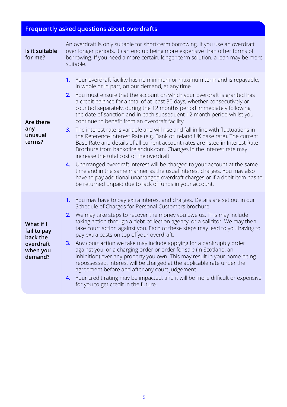### **Frequently asked questions about overdrafts**

| Is it suitable<br>for me?                                                | An overdraft is only suitable for short-term borrowing. If you use an overdraft<br>over longer periods, it can end up being more expensive than other forms of<br>borrowing. If you need a more certain, longer-term solution, a loan may be more<br>suitable.                                                                                                                                                                                                                                                                                                                                                                                                                                                                                                                                                                                                                                                                                                                                                                                                                                                                                                                                      |
|--------------------------------------------------------------------------|-----------------------------------------------------------------------------------------------------------------------------------------------------------------------------------------------------------------------------------------------------------------------------------------------------------------------------------------------------------------------------------------------------------------------------------------------------------------------------------------------------------------------------------------------------------------------------------------------------------------------------------------------------------------------------------------------------------------------------------------------------------------------------------------------------------------------------------------------------------------------------------------------------------------------------------------------------------------------------------------------------------------------------------------------------------------------------------------------------------------------------------------------------------------------------------------------------|
| Are there<br>any<br>unusual<br>terms?                                    | Your overdraft facility has no minimum or maximum term and is repayable,<br>1.<br>in whole or in part, on our demand, at any time.<br>You must ensure that the account on which your overdraft is granted has<br>2.<br>a credit balance for a total of at least 30 days, whether consecutively or<br>counted separately, during the 12 months period immediately following<br>the date of sanction and in each subsequent 12 month period whilst you<br>continue to benefit from an overdraft facility.<br>The interest rate is variable and will rise and fall in line with fluctuations in<br>3.<br>the Reference Interest Rate (e.g. Bank of Ireland UK base rate). The current<br>Base Rate and details of all current account rates are listed in Interest Rate<br>Brochure from bankofirelanduk.com. Changes in the interest rate may<br>increase the total cost of the overdraft.<br>Unarranged overdraft interest will be charged to your account at the same<br>4.<br>time and in the same manner as the usual interest charges. You may also<br>have to pay additional unarranged overdraft charges or if a debit item has to<br>be returned unpaid due to lack of funds in your account. |
| What if I<br>fail to pay<br>back the<br>overdraft<br>when you<br>demand? | 1. You may have to pay extra interest and charges. Details are set out in our<br>Schedule of Charges for Personal Customers brochure.<br>We may take steps to recover the money you owe us. This may include<br>2.<br>taking action through a debt-collection agency, or a solicitor. We may then<br>take court action against you. Each of these steps may lead to you having to<br>pay extra costs on top of your overdraft.<br>Any court action we take may include applying for a bankruptcy order<br>3.<br>against you, or a charging order or order for sale (in Scotland, an<br>inhibition) over any property you own. This may result in your home being<br>repossessed. Interest will be charged at the applicable rate under the<br>agreement before and after any court judgement.<br>Your credit rating may be impacted, and it will be more difficult or expensive<br>4.<br>for you to get credit in the future.                                                                                                                                                                                                                                                                       |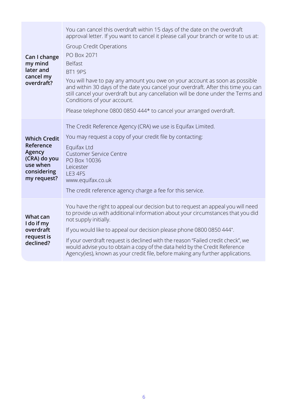| Can I change<br>my mind<br>later and<br>cancel my<br>overdraft?                                      | You can cancel this overdraft within 15 days of the date on the overdraft<br>approval letter. If you want to cancel it please call your branch or write to us at:<br>Group Credit Operations<br>PO Box 2071<br><b>Belfast</b><br>BT1 9PS<br>You will have to pay any amount you owe on your account as soon as possible<br>and within 30 days of the date you cancel your overdraft. After this time you can<br>still cancel your overdraft but any cancellation will be done under the Terms and<br>Conditions of your account.<br>Please telephone 0800 0850 444* to cancel your arranged overdraft. |
|------------------------------------------------------------------------------------------------------|--------------------------------------------------------------------------------------------------------------------------------------------------------------------------------------------------------------------------------------------------------------------------------------------------------------------------------------------------------------------------------------------------------------------------------------------------------------------------------------------------------------------------------------------------------------------------------------------------------|
| <b>Which Credit</b><br>Reference<br>Agency<br>(CRA) do you<br>use when<br>considering<br>my request? | The Credit Reference Agency (CRA) we use is Equifax Limited.<br>You may request a copy of your credit file by contacting:<br>Equifax Ltd<br><b>Customer Service Centre</b><br>PO Box 10036<br>Leicester<br>LE3 4FS<br>www.equifax.co.uk<br>The credit reference agency charge a fee for this service.                                                                                                                                                                                                                                                                                                  |
| What can<br>I do if my<br>overdraft<br>request is<br>declined?                                       | You have the right to appeal our decision but to request an appeal you will need<br>to provide us with additional information about your circumstances that you did<br>not supply initially.<br>If you would like to appeal our decision please phone 0800 0850 444*.<br>If your overdraft request is declined with the reason "Failed credit check", we<br>would advise you to obtain a copy of the data held by the Credit Reference<br>Agency(ies), known as your credit file, before making any further applications.                                                                              |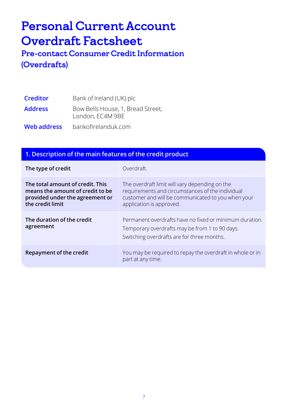## Personal Current Account Overdraft Factsheet

Pre-contact Consumer Credit Information (Overdrafts)

| <b>Creditor</b> | Bank of Ireland (UK) plc                              |
|-----------------|-------------------------------------------------------|
| <b>Address</b>  | Bow Bells House, 1, Bread Street,<br>London, EC4M 9BE |
| Web address     | bankofirelanduk.com                                   |

#### **1. Description of the main features of the credit product**

| The type of credit                                                                                                          | Overdraft                                                                                                                                                                            |
|-----------------------------------------------------------------------------------------------------------------------------|--------------------------------------------------------------------------------------------------------------------------------------------------------------------------------------|
| The total amount of credit. This<br>means the amount of credit to be<br>provided under the agreement or<br>the credit limit | The overdraft limit will vary depending on the<br>requirements and circumstances of the individual<br>customer and will be communicated to you when your<br>application is approved. |
| The duration of the credit<br>agreement                                                                                     | Permanent overdrafts have no fixed or minimum duration.<br>Temporary overdrafts may be from 1 to 90 days.<br>Switching overdrafts are for three months.                              |
| Repayment of the credit                                                                                                     | You may be required to repay the overdraft in whole or in<br>part at any time.                                                                                                       |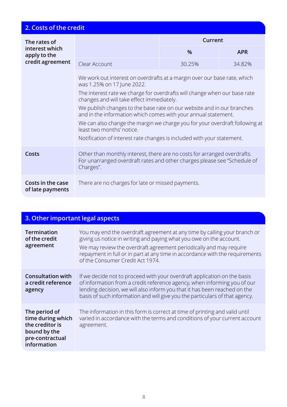| 2. Costs of the credit                         |                                                                                                                                                                   |               |            |
|------------------------------------------------|-------------------------------------------------------------------------------------------------------------------------------------------------------------------|---------------|------------|
| The rates of<br>interest which<br>apply to the |                                                                                                                                                                   | Current       |            |
|                                                |                                                                                                                                                                   | $\frac{9}{6}$ | <b>APR</b> |
| credit agreement                               | Clear Account                                                                                                                                                     | 30.25%        | 34.82%     |
|                                                | We work out interest on overdrafts at a margin over our base rate, which<br>was 1.25% on 17 June 2022.                                                            |               |            |
|                                                | The interest rate we charge for overdrafts will change when our base rate<br>changes and will take effect immediately.                                            |               |            |
|                                                | We publish changes to the base rate on our website and in our branches<br>and in the information which comes with your annual statement.                          |               |            |
|                                                | We can also change the margin we charge you for your overdraft following at<br>least two months' notice.                                                          |               |            |
|                                                | Notification of interest rate changes is included with your statement.                                                                                            |               |            |
| Costs                                          | Other than monthly interest, there are no costs for arranged overdrafts.<br>For unarranged overdraft rates and other charges please see "Schedule of<br>Charges". |               |            |
| Costs in the case<br>of late payments          | There are no charges for late or missed payments.                                                                                                                 |               |            |

| 3. Other important legal aspects                                                                        |                                                                                                                                                                                                                                                                                                                                            |
|---------------------------------------------------------------------------------------------------------|--------------------------------------------------------------------------------------------------------------------------------------------------------------------------------------------------------------------------------------------------------------------------------------------------------------------------------------------|
| <b>Termination</b><br>of the credit<br>agreement                                                        | You may end the overdraft agreement at any time by calling your branch or<br>giving us notice in writing and paying what you owe on the account.<br>We may review the overdraft agreement periodically and may require<br>repayment in full or in part at any time in accordance with the requirements<br>of the Consumer Credit Act 1974. |
| <b>Consultation with</b><br>a credit reference<br>agency                                                | If we decide not to proceed with your overdraft application on the basis<br>of information from a credit reference agency, when informing you of our<br>lending decision, we will also inform you that it has been reached on the<br>basis of such information and will give you the particulars of that agency.                           |
| The period of<br>time during which<br>the creditor is<br>bound by the<br>pre-contractual<br>information | The information in this form is correct at time of printing and valid until<br>varied in accordance with the terms and conditions of your current account<br>agreement.                                                                                                                                                                    |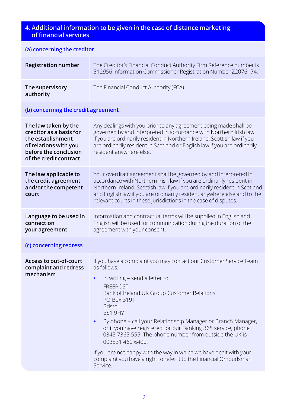#### **4. Additional information to be given in the case of distance marketing of financial services**

| (a) concerning the creditor                                                                                                                      |                                                                                                                                                                                                                                                                                                                                                                                                                                                                                                                                                                                                                 |
|--------------------------------------------------------------------------------------------------------------------------------------------------|-----------------------------------------------------------------------------------------------------------------------------------------------------------------------------------------------------------------------------------------------------------------------------------------------------------------------------------------------------------------------------------------------------------------------------------------------------------------------------------------------------------------------------------------------------------------------------------------------------------------|
| <b>Registration number</b>                                                                                                                       | The Creditor's Financial Conduct Authority Firm Reference number is<br>512956 Information Commissioner Registration Number Z2076174.                                                                                                                                                                                                                                                                                                                                                                                                                                                                            |
| The supervisory<br>authority                                                                                                                     | The Financial Conduct Authority (FCA).                                                                                                                                                                                                                                                                                                                                                                                                                                                                                                                                                                          |
| (b) concerning the credit agreement                                                                                                              |                                                                                                                                                                                                                                                                                                                                                                                                                                                                                                                                                                                                                 |
| The law taken by the<br>creditor as a basis for<br>the establishment<br>of relations with you<br>before the conclusion<br>of the credit contract | Any dealings with you prior to any agreement being made shall be<br>governed by and interpreted in accordance with Northern Irish law<br>if you are ordinarily resident in Northern Ireland, Scottish law if you<br>are ordinarily resident in Scotland or English law if you are ordinarily<br>resident anywhere else.                                                                                                                                                                                                                                                                                         |
| The law applicable to<br>the credit agreement<br>and/or the competent<br>court                                                                   | Your overdraft agreement shall be governed by and interpreted in<br>accordance with Northern Irish law if you are ordinarily resident in<br>Northern Ireland, Scottish law if you are ordinarily resident in Scotland<br>and English law if you are ordinarily resident anywhere else and to the<br>relevant courts in these jurisdictions in the case of disputes.                                                                                                                                                                                                                                             |
| Language to be used in<br>connection<br>your agreement                                                                                           | Information and contractual terms will be supplied in English and<br>English will be used for communication during the duration of the<br>agreement with your consent.                                                                                                                                                                                                                                                                                                                                                                                                                                          |
| (c) concerning redress                                                                                                                           |                                                                                                                                                                                                                                                                                                                                                                                                                                                                                                                                                                                                                 |
| <b>Access to out-of-court</b><br>complaint and redress<br>mechanism                                                                              | If you have a complaint you may contact our Customer Service Team<br>as follows:<br>In writing - send a letter to:<br>►<br><b>FREEPOST</b><br>Bank of Ireland UK Group Customer Relations<br>PO Box 3191<br><b>Bristol</b><br>BS1 9HY<br>By phone - call your Relationship Manager or Branch Manager,<br>►<br>or if you have registered for our Banking 365 service, phone<br>0345 7365 555. The phone number from outside the UK is<br>003531 460 6400.<br>If you are not happy with the way in which we have dealt with your<br>complaint you have a right to refer it to the Financial Ombudsman<br>Service. |